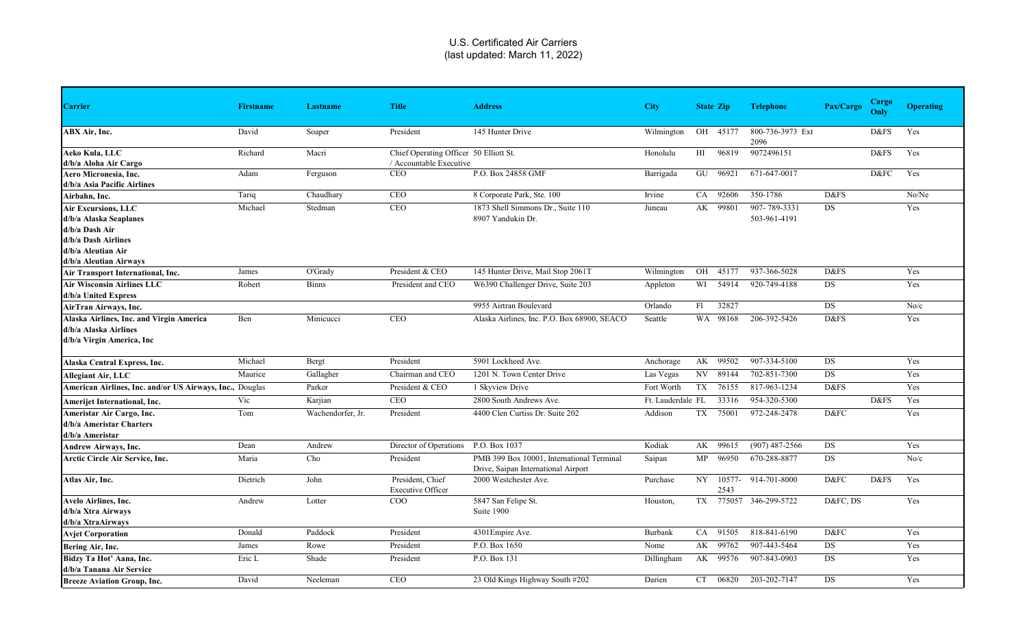| <b>Carrier</b>                                                                                 | <b>Firstname</b> | <b>Lastname</b>   | <b>Title</b>                                                      | <b>Address</b>                                                                   | <b>City</b>       |      | <b>State Zip</b> | <b>Telephone</b>         | Pax/Cargo | Cargo<br>Only | <b>Operating</b> |
|------------------------------------------------------------------------------------------------|------------------|-------------------|-------------------------------------------------------------------|----------------------------------------------------------------------------------|-------------------|------|------------------|--------------------------|-----------|---------------|------------------|
| ABX Air, Inc.                                                                                  | David            | Soaper            | President                                                         | 145 Hunter Drive                                                                 | Wilmington        | OH   | 45177            | 800-736-3973 Ext<br>2096 |           | D&FS          | Yes              |
| Aeko Kula, LLC<br>d/b/a Aloha Air Cargo                                                        | Richard          | Macri             | Chief Operating Officer 50 Elliott St.<br>/ Accountable Executive |                                                                                  | Honolulu          | HI   | 96819            | 9072496151               |           | D&FS          | Yes              |
| Aero Micronesia. Inc.<br>d/b/a Asia Pacific Airlines                                           | Adam             | Ferguson          | <b>CEO</b>                                                        | P.O. Box 24858 GMF                                                               | Barrigada         |      | GU 96921         | 671-647-0017             |           | D&FC          | Yes              |
| Airbahn, Inc.                                                                                  | Tariq            | Chaudhary         | <b>CEO</b>                                                        | 8 Corporate Park, Ste. 100                                                       | Irvine            | CA   | 92606            | 350-1786                 | D&FS      |               | No/Ne            |
| <b>Air Excursions, LLC</b>                                                                     | Michael          | Stedman           | CEO                                                               | 1873 Shell Simmons Dr., Suite 110                                                | Juneau            | AK   | 99801            | 907-789-3331             | DS        |               | Yes              |
| d/b/a Alaska Seaplanes                                                                         |                  |                   |                                                                   | 8907 Yandukin Dr.                                                                |                   |      |                  | 503-961-4191             |           |               |                  |
| d/b/a Dash Air                                                                                 |                  |                   |                                                                   |                                                                                  |                   |      |                  |                          |           |               |                  |
| d/b/a Dash Airlines                                                                            |                  |                   |                                                                   |                                                                                  |                   |      |                  |                          |           |               |                  |
| d/b/a Aleutian Air                                                                             |                  |                   |                                                                   |                                                                                  |                   |      |                  |                          |           |               |                  |
| d/b/a Aleutian Airways                                                                         |                  |                   |                                                                   |                                                                                  |                   |      |                  |                          |           |               |                  |
| Air Transport International, Inc.                                                              | James            | O'Grady           | President & CEO                                                   | 145 Hunter Drive, Mail Stop 2061T                                                | Wilmington        | OH   | 45177            | 937-366-5028             | D&FS      |               | Yes              |
| <b>Air Wisconsin Airlines LLC</b><br>d/b/a United Express                                      | Robert           | <b>Binns</b>      | President and CEO                                                 | W6390 Challenger Drive, Suite 203                                                | Appleton          | WI   | 54914            | 920-749-4188             | DS        |               | Yes              |
| AirTran Airways, Inc.                                                                          |                  |                   |                                                                   | 9955 Airtran Boulevard                                                           | Orlando           | F1   | 32827            |                          | DS        |               | No/c             |
| Alaska Airlines, Inc. and Virgin America<br>d/b/a Alaska Airlines<br>d/b/a Virgin America, Inc | Ben              | Minicucci         | CEO                                                               | Alaska Airlines, Inc. P.O. Box 68900, SEACO                                      | Seattle           | WA   | 98168            | 206-392-5426             | D&FS      |               | Yes              |
| Alaska Central Express, Inc.                                                                   | Michael          | Bergt             | President                                                         | 5901 Lockheed Ave.                                                               | Anchorage         |      | AK 99502         | 907-334-5100             | DS        |               | Yes              |
| <b>Allegiant Air, LLC</b>                                                                      | Maurice          | Gallagher         | Chairman and CEO                                                  | 1201 N. Town Center Drive                                                        | Las Vegas         |      | NV 89144         | 702-851-7300             | DS        |               | Yes              |
| American Airlines, Inc. and/or US Airways, Inc., Douglas                                       |                  | Parker            | President & CEO                                                   | 1 Skyview Drive                                                                  | Fort Worth        | TX   | 76155            | 817-963-1234             | D&FS      |               | Yes              |
| <b>Amerijet International, Inc.</b>                                                            | Vic              | Karjian           | <b>CEO</b>                                                        | 2800 South Andrews Ave.                                                          | Ft. Lauderdale FL |      | 33316            | 954-320-5300             |           | D&FS          | Yes              |
| Ameristar Air Cargo, Inc.                                                                      | Tom              | Wachendorfer, Jr. | President                                                         | 4400 Clen Curtiss Dr. Suite 202                                                  | Addison           | TX   | 75001            | 972-248-2478             | D&FC      |               | Yes              |
| d/b/a Ameristar Charters<br>d/b/a Ameristar                                                    |                  |                   |                                                                   |                                                                                  |                   |      |                  |                          |           |               |                  |
| Andrew Airways, Inc.                                                                           | Dean             | Andrew            | Director of Operations                                            | P.O. Box 1037                                                                    | Kodiak            | AK   | 99615            | $(907)$ 487-2566         | DS        |               | Yes              |
| Arctic Circle Air Service, Inc.                                                                | Maria            | Cho               | President                                                         | PMB 399 Box 10001, International Terminal<br>Drive, Saipan International Airport | Saipan            | MP   | 96950            | 670-288-8877             | DS        |               | No/c             |
| Atlas Air, Inc.                                                                                | Dietrich         | John              | President, Chief<br><b>Executive Officer</b>                      | 2000 Westchester Ave.                                                            | Purchase          | NY - | 10577-<br>2543   | 914-701-8000             | D&FC      | D&FS          | Yes              |
| Avelo Airlines, Inc.                                                                           | Andrew           | Lotter            | COO                                                               | 5847 San Felipe St.                                                              | Houston,          | TX   | 775057           | 346-299-5722             | D&FC, DS  |               | Yes              |
| d/b/a Xtra Airways                                                                             |                  |                   |                                                                   | Suite 1900                                                                       |                   |      |                  |                          |           |               |                  |
| d/b/a XtraAirways                                                                              |                  |                   |                                                                   |                                                                                  |                   |      |                  |                          |           |               |                  |
| <b>Avjet Corporation</b>                                                                       | Donald           | Paddock           | President                                                         | 4301 Empire Ave.                                                                 | Burbank           | CA   | 91505            | 818-841-6190             | D&FC      |               | Yes              |
| Bering Air, Inc.                                                                               | James            | Rowe              | President                                                         | P.O. Box 1650                                                                    | Nome              | AK   | 99762            | 907-443-5464             | DS        |               | Yes              |
| Bidzy Ta Hot' Aana, Inc.<br>d/b/a Tanana Air Service                                           | Eric L           | Shade             | President                                                         | P.O. Box 131                                                                     | Dillingham        | AK   | 99576            | 907-843-0903             | DS        |               | Yes              |
| <b>Breeze Aviation Group, Inc.</b>                                                             | David            | Neeleman          | <b>CEO</b>                                                        | 23 Old Kings Highway South #202                                                  | Darien            | CT.  | 06820            | 203-202-7147             | <b>DS</b> |               | Yes              |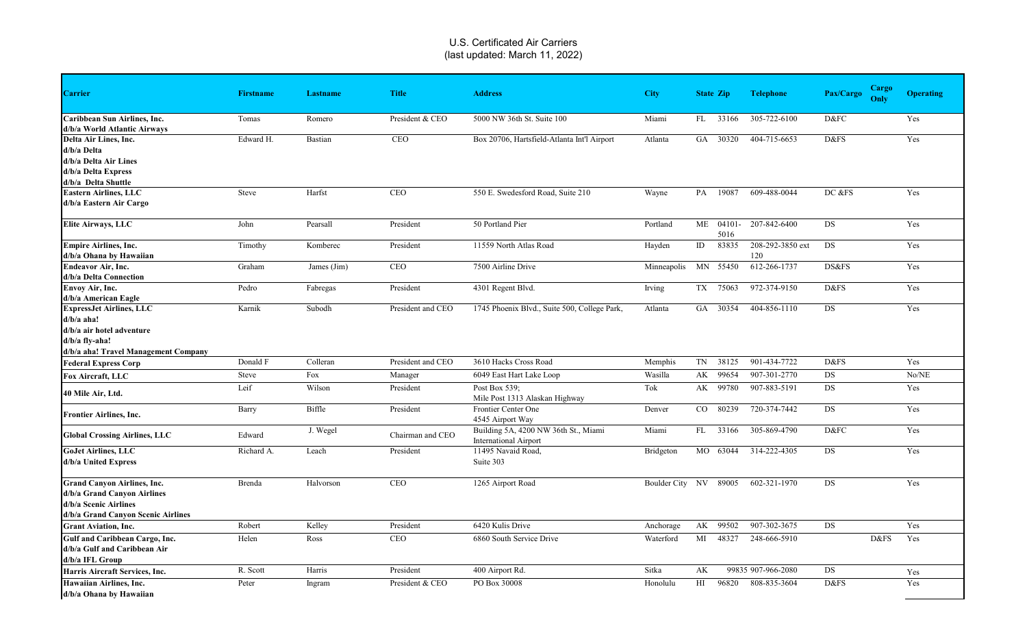|                                                              |                  |             |                   |                                                 |                       |    |                  |                    | <b>Cargo</b>      |                  |
|--------------------------------------------------------------|------------------|-------------|-------------------|-------------------------------------------------|-----------------------|----|------------------|--------------------|-------------------|------------------|
| <b>Carrier</b>                                               | <b>Firstname</b> | Lastname    | <b>Title</b>      | <b>Address</b>                                  | <b>City</b>           |    | <b>State Zip</b> | <b>Telephone</b>   | Pax/Cargo<br>Only | <b>Operating</b> |
| Caribbean Sun Airlines, Inc.<br>d/b/a World Atlantic Airways | Tomas            | Romero      | President & CEO   | 5000 NW 36th St. Suite 100                      | Miami                 | FL | 33166            | 305-722-6100       | D&FC              | Yes              |
| Delta Air Lines, Inc.                                        | Edward H.        | Bastian     | <b>CEO</b>        | Box 20706, Hartsfield-Atlanta Int'l Airport     | Atlanta               |    | GA 30320         | 404-715-6653       | D&FS              | Yes              |
| d/b/a Delta                                                  |                  |             |                   |                                                 |                       |    |                  |                    |                   |                  |
| d/b/a Delta Air Lines                                        |                  |             |                   |                                                 |                       |    |                  |                    |                   |                  |
| d/b/a Delta Express                                          |                  |             |                   |                                                 |                       |    |                  |                    |                   |                  |
| d/b/a Delta Shuttle                                          |                  |             |                   |                                                 |                       |    |                  |                    |                   |                  |
| <b>Eastern Airlines, LLC</b>                                 | Steve            | Harfst      | <b>CEO</b>        | 550 E. Swedesford Road, Suite 210               | Wayne                 | PA | 19087            | 609-488-0044       | DC &FS            | Yes              |
| d/b/a Eastern Air Cargo                                      |                  |             |                   |                                                 |                       |    |                  |                    |                   |                  |
| Elite Airways, LLC                                           | John             | Pearsall    | President         | 50 Portland Pier                                | Portland              |    | ME 04101-        | 207-842-6400       | DS                | Yes              |
|                                                              |                  |             |                   |                                                 |                       |    | 5016             |                    |                   |                  |
| <b>Empire Airlines, Inc.</b>                                 | Timothy          | Komberec    | President         | 11559 North Atlas Road                          | Hayden                | ID | 83835            | 208-292-3850 ext   | DS                | Yes              |
| d/b/a Ohana by Hawaiian                                      |                  |             |                   |                                                 |                       |    |                  | 120                |                   |                  |
| <b>Endeavor Air, Inc.</b>                                    | Graham           | James (Jim) | CEO               | 7500 Airline Drive                              | Minneapolis MN 55450  |    |                  | 612-266-1737       | DS&FS             | Yes              |
| d/b/a Delta Connection                                       |                  |             |                   |                                                 |                       |    |                  |                    |                   |                  |
| Envoy Air, Inc.                                              | Pedro            | Fabregas    | President         | 4301 Regent Blvd.                               | Irving                | TX | 75063            | 972-374-9150       | D&FS              | Yes              |
| d/b/a American Eagle                                         |                  |             |                   |                                                 |                       |    |                  |                    |                   |                  |
| <b>ExpressJet Airlines, LLC</b>                              | Karnik           | Subodh      | President and CEO | 1745 Phoenix Blvd., Suite 500, College Park,    | Atlanta               |    | GA 30354         | 404-856-1110       | DS                | Yes              |
| $d/b/a$ aha!                                                 |                  |             |                   |                                                 |                       |    |                  |                    |                   |                  |
| d/b/a air hotel adventure                                    |                  |             |                   |                                                 |                       |    |                  |                    |                   |                  |
| $d/b/a$ fly-aha!                                             |                  |             |                   |                                                 |                       |    |                  |                    |                   |                  |
| d/b/a aha! Travel Management Company                         |                  |             |                   |                                                 |                       |    |                  |                    |                   |                  |
| <b>Federal Express Corp</b>                                  | Donald F         | Colleran    | President and CEO | 3610 Hacks Cross Road                           | Memphis               | TN | 38125            | 901-434-7722       | D&FS              | Yes              |
| Fox Aircraft, LLC                                            | Steve            | Fox         | Manager           | 6049 East Hart Lake Loop                        | Wasilla               | AK | 99654            | 907-301-2770       | DS                | No/NE            |
| 40 Mile Air, Ltd.                                            | Leif             | Wilson      | President         | Post Box 539:<br>Mile Post 1313 Alaskan Highway | Tok                   | AK | 99780            | 907-883-5191       | <b>DS</b>         | Yes              |
| <b>Frontier Airlines, Inc.</b>                               | Barry            | Biffle      | President         | Frontier Center One<br>4545 Airport Way         | Denver                | CO | 80239            | 720-374-7442       | DS                | Yes              |
|                                                              |                  | J. Wegel    |                   | Building 5A, 4200 NW 36th St., Miami            | Miami                 | FL | 33166            | 305-869-4790       | D&FC              | Yes              |
| <b>Global Crossing Airlines, LLC</b>                         | Edward           |             | Chairman and CEO  | <b>International Airport</b>                    |                       |    |                  |                    |                   |                  |
| <b>GoJet Airlines, LLC</b>                                   | Richard A.       | Leach       | President         | 11495 Navaid Road,                              | Bridgeton             |    | MO 63044         | 314-222-4305       | DS                | Yes              |
| d/b/a United Express                                         |                  |             |                   | Suite 303                                       |                       |    |                  |                    |                   |                  |
| <b>Grand Canyon Airlines, Inc.</b>                           | Brenda           | Halvorson   | CEO               | 1265 Airport Road                               | Boulder City NV 89005 |    |                  | 602-321-1970       | DS                | Yes              |
| d/b/a Grand Canyon Airlines                                  |                  |             |                   |                                                 |                       |    |                  |                    |                   |                  |
| d/b/a Scenic Airlines                                        |                  |             |                   |                                                 |                       |    |                  |                    |                   |                  |
| d/b/a Grand Canyon Scenic Airlines                           |                  |             |                   |                                                 |                       |    |                  |                    |                   |                  |
| <b>Grant Aviation, Inc.</b>                                  | Robert           | Kelley      | President         | 6420 Kulis Drive                                | Anchorage             |    | AK 99502         | 907-302-3675       | DS                | Yes              |
| Gulf and Caribbean Cargo, Inc.                               | Helen            | Ross        | <b>CEO</b>        | 6860 South Service Drive                        | Waterford             | MI | 48327            | 248-666-5910       | D&FS              | Yes              |
| d/b/a Gulf and Caribbean Air                                 |                  |             |                   |                                                 |                       |    |                  |                    |                   |                  |
| d/b/a IFL Group                                              |                  |             |                   |                                                 |                       |    |                  |                    |                   |                  |
| Harris Aircraft Services, Inc.                               | R. Scott         | Harris      | President         | 400 Airport Rd.                                 | Sitka                 | AK |                  | 99835 907-966-2080 | DS                | Yes              |
| Hawaiian Airlines, Inc.                                      | Peter            | Ingram      | President & CEO   | PO Box 30008                                    | Honolulu              | HI | 96820            | 808-835-3604       | D&FS              | Yes              |
| d/b/a Ohana by Hawaiian                                      |                  |             |                   |                                                 |                       |    |                  |                    |                   |                  |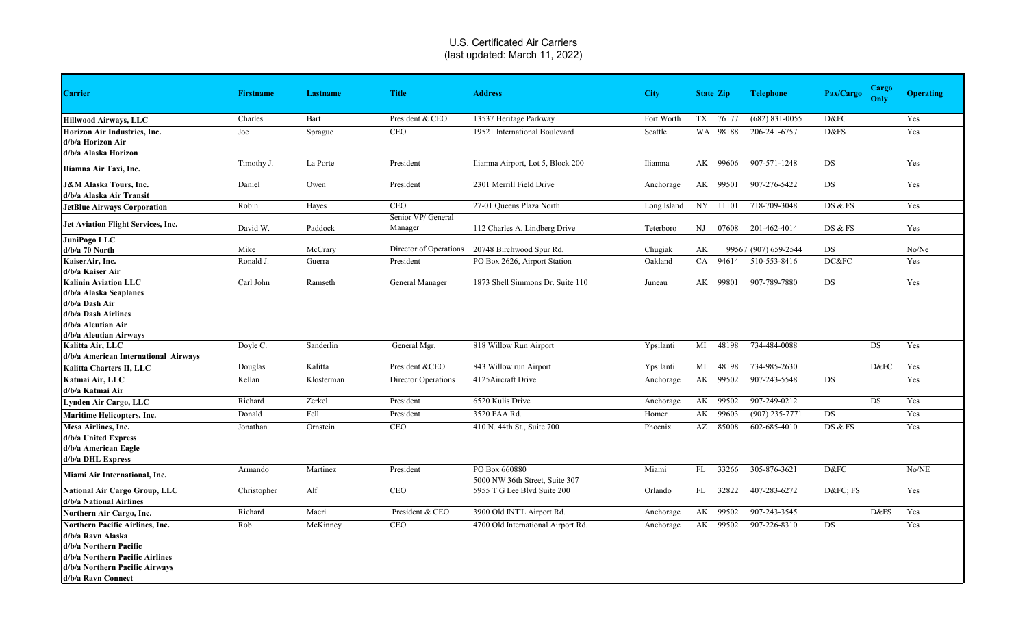| <b>Carrier</b>                                                                                                                                                                   | <b>Firstname</b> | <b>Lastname</b> | <b>Title</b>                  | <b>Address</b>                                  | <b>City</b> | <b>State Zip</b> |       | <b>Telephone</b>     | Pax/Cargo | <b>Cargo</b><br>Only | <b>Operating</b> |
|----------------------------------------------------------------------------------------------------------------------------------------------------------------------------------|------------------|-----------------|-------------------------------|-------------------------------------------------|-------------|------------------|-------|----------------------|-----------|----------------------|------------------|
| <b>Hillwood Airways, LLC</b>                                                                                                                                                     | Charles          | Bart            | President & CEO               | 13537 Heritage Parkway                          | Fort Worth  | TX 76177         |       | $(682)$ 831-0055     | D&FC      |                      | Yes              |
| <b>Horizon Air Industries, Inc.</b><br>d/b/a Horizon Air<br>d/b/a Alaska Horizon                                                                                                 | Joe              | Sprague         | <b>CEO</b>                    | 19521 International Boulevard                   | Seattle     | WA 98188         |       | 206-241-6757         | D&FS      |                      | Yes              |
| Iliamna Air Taxi, Inc.                                                                                                                                                           | Timothy J.       | La Porte        | President                     | Iliamna Airport, Lot 5, Block 200               | Iliamna     | AK               | 99606 | 907-571-1248         | DS        |                      | Yes              |
| <b>J&amp;M Alaska Tours, Inc.</b><br>d/b/a Alaska Air Transit                                                                                                                    | Daniel           | Owen            | President                     | 2301 Merrill Field Drive                        | Anchorage   | AK               | 99501 | 907-276-5422         | <b>DS</b> |                      | Yes              |
| <b>JetBlue Airways Corporation</b>                                                                                                                                               | Robin            | Hayes           | <b>CEO</b>                    | 27-01 Queens Plaza North                        | Long Island | NY 11101         |       | 718-709-3048         | DS & FS   |                      | Yes              |
| Jet Aviation Flight Services, Inc.                                                                                                                                               | David W.         | Paddock         | Senior VP/ General<br>Manager | 112 Charles A. Lindberg Drive                   | Teterboro   | $_{\rm NJ}$      | 07608 | 201-462-4014         | DS & FS   |                      | Yes              |
| JuniPogo LLC                                                                                                                                                                     |                  |                 |                               |                                                 |             |                  |       |                      |           |                      |                  |
| $d/b/a$ 70 North                                                                                                                                                                 | Mike             | McCrary         |                               | Director of Operations 20748 Birchwood Spur Rd. | Chugiak     | АK               |       | 99567 (907) 659-2544 | DS        |                      | No/Ne            |
| KaiserAir, Inc.<br>d/b/a Kaiser Air                                                                                                                                              | Ronald J.        | Guerra          | President                     | PO Box 2626, Airport Station                    | Oakland     | CA               | 94614 | 510-553-8416         | DC&FC     |                      | Yes              |
| <b>Kalinin Aviation LLC</b><br>d/b/a Alaska Seaplanes<br>d/b/a Dash Air<br>d/b/a Dash Airlines<br>d/b/a Aleutian Air<br>d/b/a Aleutian Airways                                   | Carl John        | Ramseth         | General Manager               | 1873 Shell Simmons Dr. Suite 110                | Juneau      | AK               | 99801 | 907-789-7880         | DS        |                      | Yes              |
| Kalitta Air, LLC<br>d/b/a American International Airways                                                                                                                         | Doyle C.         | Sanderlin       | General Mgr.                  | 818 Willow Run Airport                          | Ypsilanti   | MI               | 48198 | 734-484-0088         |           | <b>DS</b>            | Yes              |
| Kalitta Charters II, LLC                                                                                                                                                         | Douglas          | Kalitta         | President &CEO                | 843 Willow run Airport                          | Ypsilanti   | MI               | 48198 | 734-985-2630         |           | D&FC                 | Yes              |
| Katmai Air, LLC<br>d/b/a Katmai Air                                                                                                                                              | Kellan           | Klosterman      | Director Operations           | 4125 Aircraft Drive                             | Anchorage   | AK               | 99502 | 907-243-5548         | DS        |                      | Yes              |
| Lynden Air Cargo, LLC                                                                                                                                                            | Richard          | Zerkel          | President                     | 6520 Kulis Drive                                | Anchorage   | AK               | 99502 | 907-249-0212         |           | <b>DS</b>            | Yes              |
| <b>Maritime Helicopters, Inc.</b>                                                                                                                                                | Donald           | Fell            | President                     | 3520 FAA Rd.                                    | Homer       | AK               | 99603 | $(907)$ 235-7771     | DS        |                      | Yes              |
| Mesa Airlines, Inc.<br>d/b/a United Express<br>d/b/a American Eagle<br>d/b/a DHL Express                                                                                         | Jonathan         | Ornstein        | <b>CEO</b>                    | 410 N. 44th St., Suite 700                      | Phoenix     | AZ               | 85008 | 602-685-4010         | DS & FS   |                      | Yes              |
| Miami Air International, Inc.                                                                                                                                                    | Armando          | Martinez        | President                     | PO Box 660880<br>5000 NW 36th Street, Suite 307 | Miami       | FL               | 33266 | 305-876-3621         | D&FC      |                      | No/NE            |
| <b>National Air Cargo Group, LLC</b><br>d/b/a National Airlines                                                                                                                  | Christopher      | Alf             | <b>CEO</b>                    | 5955 T G Lee Blvd Suite 200                     | Orlando     | FL               | 32822 | 407-283-6272         | D&FC FS   |                      | Yes              |
| Northern Air Cargo, Inc.                                                                                                                                                         | Richard          | Macri           | President & CEO               | 3900 Old INT'L Airport Rd.                      | Anchorage   | AK 99502         |       | 907-243-3545         |           | D&FS                 | Yes              |
| <b>Northern Pacific Airlines, Inc.</b><br>d/b/a Ravn Alaska<br>d/b/a Northern Pacific<br>d/b/a Northern Pacific Airlines<br>d/b/a Northern Pacific Airways<br>d/b/a Ravn Connect | Rob              | McKinney        | CEO                           | 4700 Old International Airport Rd.              | Anchorage   | AK               | 99502 | 907-226-8310         | DS        |                      | Yes              |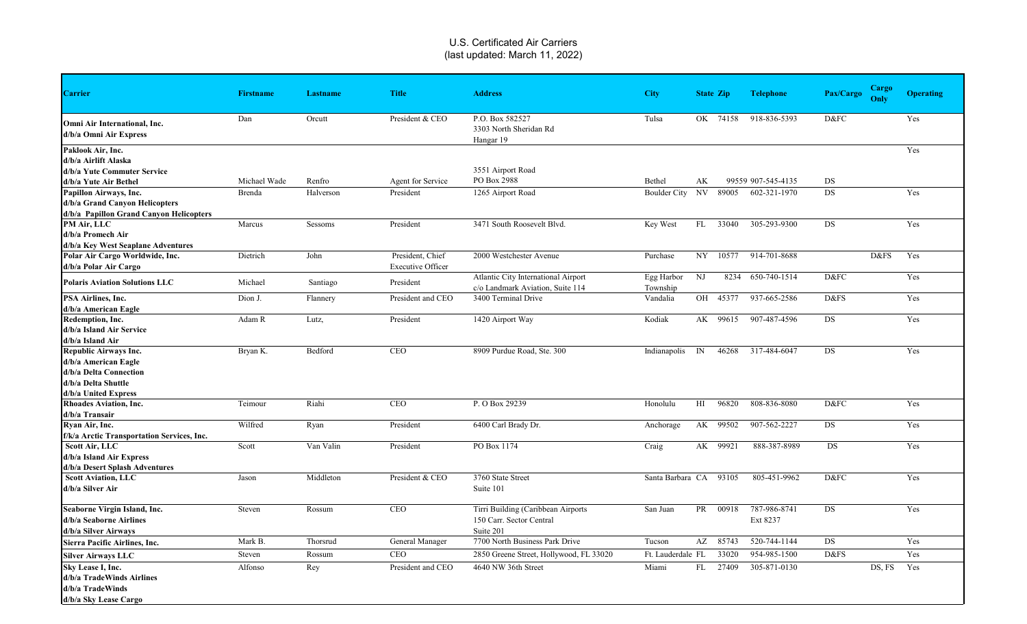| <b>Carrier</b>                             | <b>Firstname</b> | <b>Lastname</b> | <b>Title</b>             | <b>Address</b>                          | <b>City</b>       |              | <b>State Zip</b> | <b>Telephone</b>   | Pax/Cargo | <b>Cargo</b><br>Only | <b>Operating</b> |
|--------------------------------------------|------------------|-----------------|--------------------------|-----------------------------------------|-------------------|--------------|------------------|--------------------|-----------|----------------------|------------------|
|                                            |                  |                 |                          |                                         |                   |              |                  |                    |           |                      |                  |
| Omni Air International, Inc.               | Dan              | Orcutt          | President & CEO          | P.O. Box 582527                         | Tulsa             |              | OK 74158         | 918-836-5393       | D&FC      |                      | Yes              |
| d/b/a Omni Air Express                     |                  |                 |                          | 3303 North Sheridan Rd                  |                   |              |                  |                    |           |                      |                  |
|                                            |                  |                 |                          | Hangar 19                               |                   |              |                  |                    |           |                      |                  |
| Paklook Air, Inc.                          |                  |                 |                          |                                         |                   |              |                  |                    |           |                      | Yes              |
| d/b/a Airlift Alaska                       |                  |                 |                          |                                         |                   |              |                  |                    |           |                      |                  |
| d/b/a Yute Commuter Service                |                  |                 |                          | 3551 Airport Road                       |                   |              |                  |                    |           |                      |                  |
| d/b/a Yute Air Bethel                      | Michael Wade     | Renfro          | Agent for Service        | PO Box 2988                             | Bethel            | AK           |                  | 99559 907-545-4135 | DS        |                      |                  |
| Papillon Airways, Inc.                     | Brenda           | Halverson       | President                | 1265 Airport Road                       | Boulder City      |              | NV 89005         | 602-321-1970       | DS        |                      | Yes              |
| d/b/a Grand Canyon Helicopters             |                  |                 |                          |                                         |                   |              |                  |                    |           |                      |                  |
| d/b/a Papillon Grand Canyon Helicopters    |                  |                 |                          |                                         |                   |              |                  |                    |           |                      |                  |
| PM Air, LLC                                | Marcus           | Sessoms         | President                | 3471 South Roosevelt Blvd.              | Key West          | FL           | 33040            | 305-293-9300       | <b>DS</b> |                      | Yes              |
| d/b/a Promech Air                          |                  |                 |                          |                                         |                   |              |                  |                    |           |                      |                  |
| d/b/a Key West Seaplane Adventures         |                  |                 |                          |                                         |                   |              |                  |                    |           |                      |                  |
| Polar Air Cargo Worldwide, Inc.            | Dietrich         | John            | President, Chief         | 2000 Westchester Avenue                 | Purchase          |              | NY 10577         | 914-701-8688       |           | D&FS                 | Yes              |
| d/b/a Polar Air Cargo                      |                  |                 | <b>Executive Officer</b> |                                         |                   |              |                  |                    |           |                      |                  |
| <b>Polaris Aviation Solutions LLC</b>      | Michael          | Santiago        | President                | Atlantic City International Airport     | Egg Harbor        | NJ           | 8234             | 650-740-1514       | D&FC      |                      | Yes              |
|                                            |                  |                 |                          | c/o Landmark Aviation, Suite 114        | Township          |              |                  |                    |           |                      |                  |
| PSA Airlines, Inc.                         | Dion J.          | Flannery        | President and CEO        | 3400 Terminal Drive                     | Vandalia          |              | OH 45377         | 937-665-2586       | D&FS      |                      | Yes              |
| d/b/a American Eagle                       |                  |                 |                          |                                         |                   |              |                  |                    |           |                      |                  |
| Redemption, Inc.                           | Adam R           | Lutz,           | President                | 1420 Airport Way                        | Kodiak            |              | AK 99615         | 907-487-4596       | DS        |                      | Yes              |
| d/b/a Island Air Service                   |                  |                 |                          |                                         |                   |              |                  |                    |           |                      |                  |
| d/b/a Island Air                           |                  |                 |                          |                                         |                   |              |                  |                    |           |                      |                  |
| <b>Republic Airways Inc.</b>               | Bryan K.         | Bedford         | <b>CEO</b>               | 8909 Purdue Road, Ste. 300              | Indianapolis      | $\mathbb{N}$ | 46268            | 317-484-6047       | <b>DS</b> |                      | Yes              |
| d/b/a American Eagle                       |                  |                 |                          |                                         |                   |              |                  |                    |           |                      |                  |
| d/b/a Delta Connection                     |                  |                 |                          |                                         |                   |              |                  |                    |           |                      |                  |
| d/b/a Delta Shuttle                        |                  |                 |                          |                                         |                   |              |                  |                    |           |                      |                  |
| d/b/a United Express                       |                  |                 |                          |                                         |                   |              |                  |                    |           |                      |                  |
| <b>Rhoades Aviation, Inc.</b>              | Teimour          | Riahi           | <b>CEO</b>               | P. O Box 29239                          | Honolulu          | HI           | 96820            | 808-836-8080       | D&FC      |                      | Yes              |
| d/b/a Transair                             |                  |                 |                          |                                         |                   |              |                  |                    |           |                      |                  |
| Ryan Air, Inc.                             | Wilfred          | Ryan            | President                | 6400 Carl Brady Dr.                     | Anchorage         |              | AK 99502         | 907-562-2227       | DS        |                      | Yes              |
| f/k/a Arctic Transportation Services, Inc. |                  |                 |                          |                                         |                   |              |                  |                    |           |                      |                  |
| Scott Air, LLC                             | Scott            | Van Valin       | President                | PO Box 1174                             | Craig             |              | AK 99921         | 888-387-8989       | <b>DS</b> |                      | Yes              |
| d/b/a Island Air Express                   |                  |                 |                          |                                         |                   |              |                  |                    |           |                      |                  |
| d/b/a Desert Splash Adventures             |                  |                 |                          |                                         |                   |              | 93105            |                    |           |                      | Yes              |
| <b>Scott Aviation, LLC</b>                 | Jason            | Middleton       | President & CEO          | 3760 State Street                       | Santa Barbara CA  |              |                  | 805-451-9962       | D&FC      |                      |                  |
| d/b/a Silver Air                           |                  |                 |                          | Suite 101                               |                   |              |                  |                    |           |                      |                  |
| Seaborne Virgin Island, Inc.               | Steven           | Rossum          | <b>CEO</b>               | Tirri Building (Caribbean Airports      | San Juan          | PR           | 00918            | 787-986-8741       | <b>DS</b> |                      | Yes              |
| d/b/a Seaborne Airlines                    |                  |                 |                          | 150 Carr. Sector Central                |                   |              |                  | Ext 8237           |           |                      |                  |
| d/b/a Silver Airways                       |                  |                 |                          | Suite 201                               |                   |              |                  |                    |           |                      |                  |
| Sierra Pacific Airlines, Inc.              | Mark B.          | Thorsrud        | General Manager          | 7700 North Business Park Drive          | Tucson            | AZ           | 85743            | 520-744-1144       | DS        |                      | Yes              |
| <b>Silver Airways LLC</b>                  | Steven           | Rossum          | CEO                      | 2850 Greene Street, Hollywood, FL 33020 | Ft. Lauderdale FL |              | 33020            | 954-985-1500       | D&FS      |                      | Yes              |
| Sky Lease I, Inc.                          | Alfonso          | Rey             | President and CEO        | 4640 NW 36th Street                     | Miami             | FL           | 27409            | 305-871-0130       |           | DS, FS               | Yes              |
| d/b/a TradeWinds Airlines                  |                  |                 |                          |                                         |                   |              |                  |                    |           |                      |                  |
| d/b/a TradeWinds                           |                  |                 |                          |                                         |                   |              |                  |                    |           |                      |                  |
| d/b/a Sky Lease Cargo                      |                  |                 |                          |                                         |                   |              |                  |                    |           |                      |                  |
|                                            |                  |                 |                          |                                         |                   |              |                  |                    |           |                      |                  |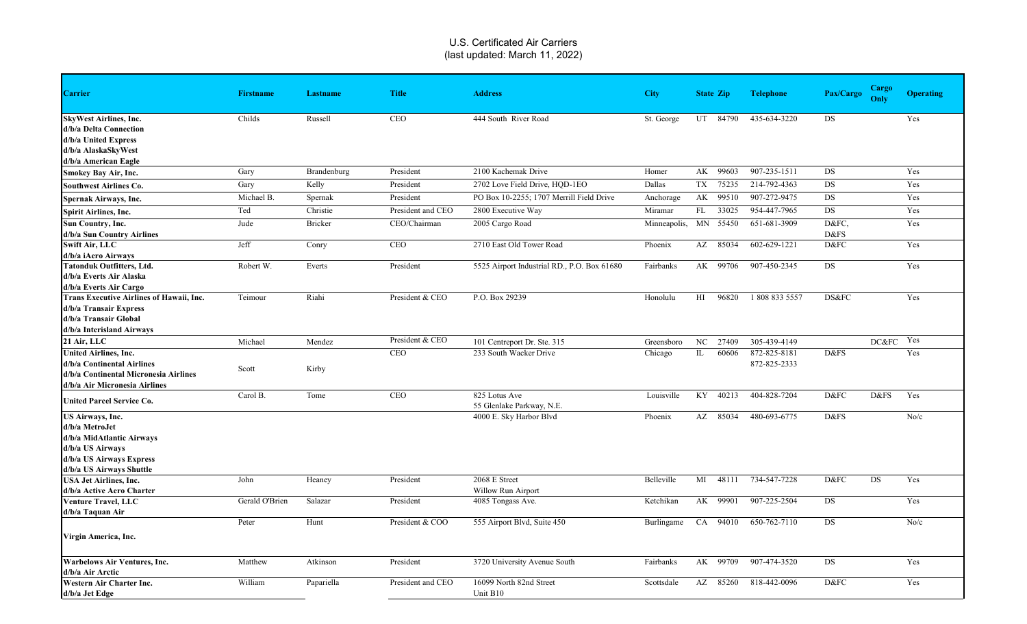| <b>Carrier</b>                                                                                                                              | <b>Firstname</b> | <b>Lastname</b> | <b>Title</b>      | <b>Address</b>                              | <b>City</b>  |                | <b>State Zip</b> | <b>Telephone</b>             | Pax/Cargo     | <b>Cargo</b><br>Only | <b>Operating</b> |
|---------------------------------------------------------------------------------------------------------------------------------------------|------------------|-----------------|-------------------|---------------------------------------------|--------------|----------------|------------------|------------------------------|---------------|----------------------|------------------|
| <b>SkyWest Airlines, Inc.</b><br>d/b/a Delta Connection<br>d/b/a United Express<br>d/b/a AlaskaSkyWest<br>d/b/a American Eagle              | Childs           | Russell         | <b>CEO</b>        | 444 South River Road                        | St. George   |                | UT 84790         | 435-634-3220                 | <b>DS</b>     |                      | Yes              |
| <b>Smokey Bay Air, Inc.</b>                                                                                                                 | Gary             | Brandenburg     | President         | 2100 Kachemak Drive                         | Homer        |                | AK 99603         | 907-235-1511                 | DS            |                      | Yes              |
| <b>Southwest Airlines Co.</b>                                                                                                               | Gary             | Kelly           | President         | 2702 Love Field Drive, HOD-1EO              | Dallas       |                | TX 75235         | 214-792-4363                 | DS            |                      | Yes              |
| Spernak Airways, Inc.                                                                                                                       | Michael B.       | Spernak         | President         | PO Box 10-2255; 1707 Merrill Field Drive    | Anchorage    | AK             | 99510            | 907-272-9475                 | DS            |                      | Yes              |
| <b>Spirit Airlines, Inc.</b>                                                                                                                | Ted              | Christie        | President and CEO | 2800 Executive Way                          | Miramar      | FL             | 33025            | 954-447-7965                 | DS            |                      | Yes              |
| Sun Country, Inc.<br>d/b/a Sun Country Airlines                                                                                             | Jude             | Bricker         | CEO/Chairman      | 2005 Cargo Road                             | Minneapolis, | MN             | 55450            | 651-681-3909                 | D&FC,<br>D&FS |                      | Yes              |
| Swift Air, LLC<br>d/b/a iAero Airways                                                                                                       | Jeff             | Conry           | <b>CEO</b>        | 2710 East Old Tower Road                    | Phoenix      | AZ             | 85034            | 602-629-1221                 | D&FC          |                      | Yes              |
| <b>Tatonduk Outfitters, Ltd.</b><br>d/b/a Everts Air Alaska<br>d/b/a Everts Air Cargo                                                       | Robert W.        | Everts          | President         | 5525 Airport Industrial RD., P.O. Box 61680 | Fairbanks    |                | AK 99706         | 907-450-2345                 | <b>DS</b>     |                      | Yes              |
| Trans Executive Airlines of Hawaii, Inc.<br>d/b/a Transair Express<br>d/b/a Transair Global<br>d/b/a Interisland Airways                    | Teimour          | Riahi           | President & CEO   | P.O. Box 29239                              | Honolulu     | H <sub>I</sub> | 96820            | 1 808 833 5557               | DS&FC         |                      | Yes              |
| 21 Air, LLC                                                                                                                                 | Michael          | Mendez          | President & CEO   | 101 Centreport Dr. Ste. 315                 | Greensboro   | NC             | 27409            | 305-439-4149                 |               | DC&FC Yes            |                  |
| <b>United Airlines, Inc.</b><br>d/b/a Continental Airlines<br>d/b/a Continental Micronesia Airlines<br>d/b/a Air Micronesia Airlines        | Scott            | Kirby           | <b>CEO</b>        | 233 South Wacker Drive                      | Chicago      | IL             | 60606            | 872-825-8181<br>872-825-2333 | D&FS          |                      | Yes              |
| <b>United Parcel Service Co.</b>                                                                                                            | Carol B.         | Tome            | <b>CEO</b>        | 825 Lotus Ave<br>55 Glenlake Parkway, N.E.  | Louisville   | KY             | 40213            | 404-828-7204                 | D&FC          | D&FS                 | Yes              |
| US Airways, Inc.<br>d/b/a MetroJet<br>d/b/a MidAtlantic Airways<br>d/b/a US Airways<br>d/b/a US Airways Express<br>d/b/a US Airways Shuttle |                  |                 |                   | 4000 E. Sky Harbor Blvd                     | Phoenix      | AZ             | 85034            | 480-693-6775                 | D&FS          |                      | No/c             |
| <b>USA Jet Airlines, Inc.</b><br>d/b/a Active Aero Charter                                                                                  | John             | Heaney          | President         | 2068 E Street<br>Willow Run Airport         | Belleville   | MI             | 48111            | 734-547-7228                 | D&FC          | <b>DS</b>            | Yes              |
| <b>Venture Travel, LLC</b><br>d/b/a Taquan Air                                                                                              | Gerald O'Brien   | Salazar         | President         | 4085 Tongass Ave.                           | Ketchikan    | AK             | 99901            | 907-225-2504                 | DS            |                      | Yes              |
| Virgin America, Inc.                                                                                                                        | Peter            | Hunt            | President & COO   | 555 Airport Blvd, Suite 450                 | Burlingame   | CA             | 94010            | 650-762-7110                 | DS            |                      | No/c             |
| <b>Warbelows Air Ventures, Inc.</b><br>d/b/a Air Arctic                                                                                     | Matthew          | Atkinson        | President         | 3720 University Avenue South                | Fairbanks    |                | AK 99709         | 907-474-3520                 | DS            |                      | Yes              |
| Western Air Charter Inc.<br>d/b/a Jet Edge                                                                                                  | William          | Papariella      | President and CEO | 16099 North 82nd Street<br>Unit B10         | Scottsdale   | AZ             | 85260            | 818-442-0096                 | D&FC          |                      | Yes              |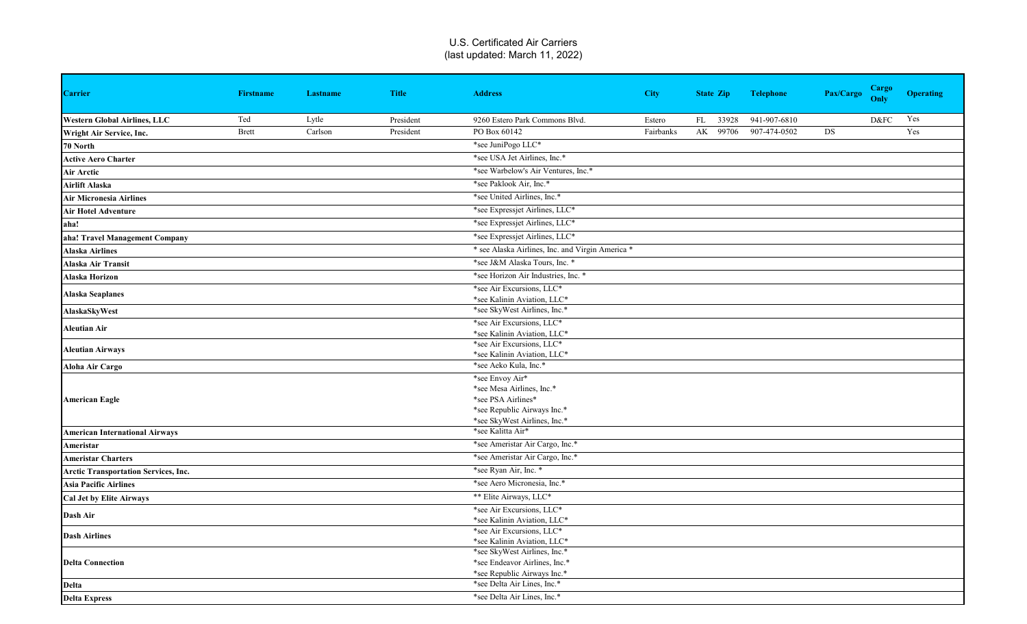| <b>Carrier</b>                              | <b>Firstname</b> | <b>Lastname</b> | <b>Title</b> | <b>Address</b>                                           | <b>City</b> | <b>State Zip</b> | <b>Telephone</b> | Pax/Cargo | <b>Cargo</b><br>Only | <b>Operating</b> |
|---------------------------------------------|------------------|-----------------|--------------|----------------------------------------------------------|-------------|------------------|------------------|-----------|----------------------|------------------|
| <b>Western Global Airlines, LLC</b>         | Ted              | Lytle           | President    | 9260 Estero Park Commons Blvd.                           | Estero      | FL 33928         | 941-907-6810     |           | D&FC                 | Yes              |
| Wright Air Service, Inc.                    | <b>Brett</b>     | Carlson         | President    | PO Box 60142                                             | Fairbanks   | AK 99706         | 907-474-0502     | DS        |                      | Yes              |
| 70 North                                    |                  |                 |              | *see JuniPogo LLC*                                       |             |                  |                  |           |                      |                  |
| <b>Active Aero Charter</b>                  |                  |                 |              | *see USA Jet Airlines, Inc.*                             |             |                  |                  |           |                      |                  |
| Air Arctic                                  |                  |                 |              | *see Warbelow's Air Ventures, Inc.*                      |             |                  |                  |           |                      |                  |
| Airlift Alaska                              |                  |                 |              | *see Paklook Air, Inc.*                                  |             |                  |                  |           |                      |                  |
| <b>Air Micronesia Airlines</b>              |                  |                 |              | *see United Airlines, Inc.*                              |             |                  |                  |           |                      |                  |
| <b>Air Hotel Adventure</b>                  |                  |                 |              | *see Expressjet Airlines, LLC*                           |             |                  |                  |           |                      |                  |
| aha!                                        |                  |                 |              | *see Expressjet Airlines, LLC*                           |             |                  |                  |           |                      |                  |
| aha! Travel Management Company              |                  |                 |              | *see Expressjet Airlines, LLC*                           |             |                  |                  |           |                      |                  |
| <b>Alaska Airlines</b>                      |                  |                 |              | * see Alaska Airlines, Inc. and Virgin America *         |             |                  |                  |           |                      |                  |
| <b>Alaska Air Transit</b>                   |                  |                 |              | *see J&M Alaska Tours, Inc. *                            |             |                  |                  |           |                      |                  |
| <b>Alaska Horizon</b>                       |                  |                 |              | *see Horizon Air Industries, Inc. *                      |             |                  |                  |           |                      |                  |
|                                             |                  |                 |              | *see Air Excursions, LLC*                                |             |                  |                  |           |                      |                  |
| <b>Alaska Seaplanes</b>                     |                  |                 |              | *see Kalinin Aviation, LLC*                              |             |                  |                  |           |                      |                  |
| AlaskaSkyWest                               |                  |                 |              | *see SkyWest Airlines, Inc.*                             |             |                  |                  |           |                      |                  |
| <b>Aleutian Air</b>                         |                  |                 |              | *see Air Excursions, LLC*                                |             |                  |                  |           |                      |                  |
|                                             |                  |                 |              | *see Kalinin Aviation, LLC*                              |             |                  |                  |           |                      |                  |
| <b>Aleutian Airways</b>                     |                  |                 |              | *see Air Excursions, LLC*<br>*see Kalinin Aviation, LLC* |             |                  |                  |           |                      |                  |
| Aloha Air Cargo                             |                  |                 |              | *see Aeko Kula, Inc.*                                    |             |                  |                  |           |                      |                  |
|                                             |                  |                 |              | *see Envoy Air*                                          |             |                  |                  |           |                      |                  |
|                                             |                  |                 |              | *see Mesa Airlines, Inc.*                                |             |                  |                  |           |                      |                  |
| <b>American Eagle</b>                       |                  |                 |              | *see PSA Airlines*                                       |             |                  |                  |           |                      |                  |
|                                             |                  |                 |              | *see Republic Airways Inc.*                              |             |                  |                  |           |                      |                  |
|                                             |                  |                 |              | *see SkyWest Airlines, Inc.*                             |             |                  |                  |           |                      |                  |
| <b>American International Airways</b>       |                  |                 |              | *see Kalitta Air*                                        |             |                  |                  |           |                      |                  |
| Ameristar                                   |                  |                 |              | *see Ameristar Air Cargo, Inc.*                          |             |                  |                  |           |                      |                  |
| <b>Ameristar Charters</b>                   |                  |                 |              | *see Ameristar Air Cargo, Inc.*                          |             |                  |                  |           |                      |                  |
| <b>Arctic Transportation Services, Inc.</b> |                  |                 |              | *see Ryan Air, Inc. *                                    |             |                  |                  |           |                      |                  |
| <b>Asia Pacific Airlines</b>                |                  |                 |              | *see Aero Micronesia, Inc.*                              |             |                  |                  |           |                      |                  |
| <b>Cal Jet by Elite Airways</b>             |                  |                 |              | ** Elite Airways, LLC*                                   |             |                  |                  |           |                      |                  |
| Dash Air                                    |                  |                 |              | *see Air Excursions, LLC*                                |             |                  |                  |           |                      |                  |
|                                             |                  |                 |              | *see Kalinin Aviation, LLC*<br>*see Air Excursions, LLC* |             |                  |                  |           |                      |                  |
| <b>Dash Airlines</b>                        |                  |                 |              | *see Kalinin Aviation, LLC*                              |             |                  |                  |           |                      |                  |
|                                             |                  |                 |              | *see SkyWest Airlines, Inc.*                             |             |                  |                  |           |                      |                  |
| <b>Delta Connection</b>                     |                  |                 |              | *see Endeavor Airlines, Inc.*                            |             |                  |                  |           |                      |                  |
|                                             |                  |                 |              | *see Republic Airways Inc.*                              |             |                  |                  |           |                      |                  |
| <b>Delta</b>                                |                  |                 |              | *see Delta Air Lines, Inc.*                              |             |                  |                  |           |                      |                  |
| <b>Delta Express</b>                        |                  |                 |              | *see Delta Air Lines, Inc.*                              |             |                  |                  |           |                      |                  |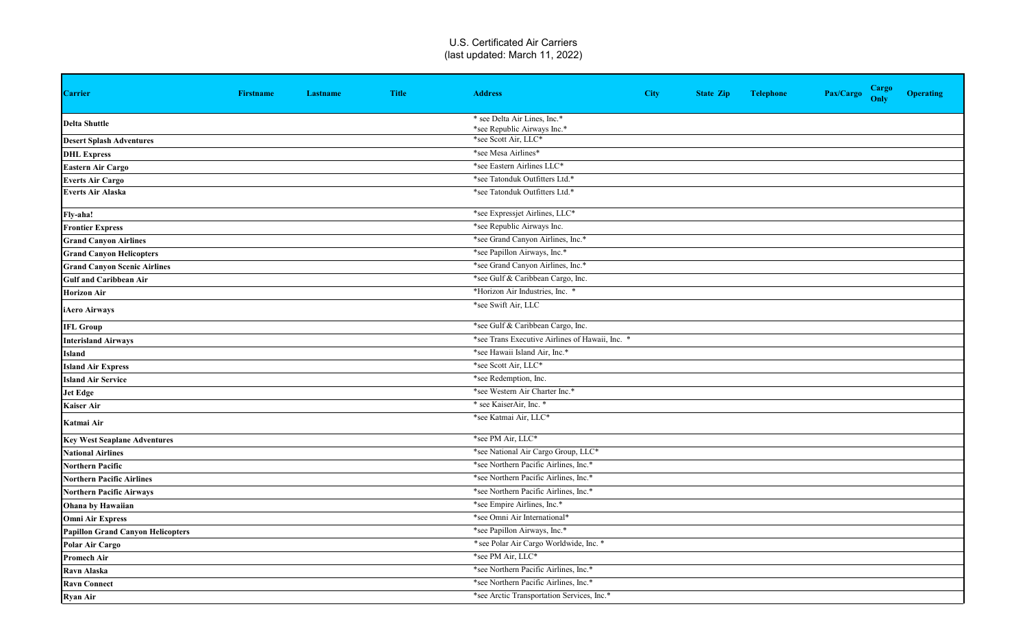| <b>Carrier</b>                           | <b>Firstname</b> | Lastname | <b>Title</b> | <b>Address</b>                                  | <b>City</b> | <b>State Zip</b> | <b>Telephone</b> | Pax/Cargo | <b>Cargo</b><br>Only | <b>Operating</b> |
|------------------------------------------|------------------|----------|--------------|-------------------------------------------------|-------------|------------------|------------------|-----------|----------------------|------------------|
| <b>Delta Shuttle</b>                     |                  |          |              | * see Delta Air Lines, Inc.*                    |             |                  |                  |           |                      |                  |
|                                          |                  |          |              | *see Republic Airways Inc.*                     |             |                  |                  |           |                      |                  |
| <b>Desert Splash Adventures</b>          |                  |          |              | *see Scott Air, LLC*                            |             |                  |                  |           |                      |                  |
| <b>DHL Express</b>                       |                  |          |              | *see Mesa Airlines*                             |             |                  |                  |           |                      |                  |
| <b>Eastern Air Cargo</b>                 |                  |          |              | *see Eastern Airlines LLC*                      |             |                  |                  |           |                      |                  |
| <b>Everts Air Cargo</b>                  |                  |          |              | *see Tatonduk Outfitters Ltd.*                  |             |                  |                  |           |                      |                  |
| <b>Everts Air Alaska</b>                 |                  |          |              | *see Tatonduk Outfitters Ltd.*                  |             |                  |                  |           |                      |                  |
| Fly-aha!                                 |                  |          |              | *see Expressjet Airlines, LLC*                  |             |                  |                  |           |                      |                  |
| <b>Frontier Express</b>                  |                  |          |              | *see Republic Airways Inc.                      |             |                  |                  |           |                      |                  |
| <b>Grand Canyon Airlines</b>             |                  |          |              | *see Grand Canyon Airlines, Inc.*               |             |                  |                  |           |                      |                  |
| <b>Grand Canyon Helicopters</b>          |                  |          |              | *see Papillon Airways, Inc.*                    |             |                  |                  |           |                      |                  |
| <b>Grand Canyon Scenic Airlines</b>      |                  |          |              | *see Grand Canyon Airlines, Inc.*               |             |                  |                  |           |                      |                  |
| <b>Gulf and Caribbean Air</b>            |                  |          |              | *see Gulf & Caribbean Cargo, Inc.               |             |                  |                  |           |                      |                  |
| <b>Horizon Air</b>                       |                  |          |              | *Horizon Air Industries, Inc. *                 |             |                  |                  |           |                      |                  |
| iAero Airways                            |                  |          |              | *see Swift Air, LLC                             |             |                  |                  |           |                      |                  |
| <b>IFL Group</b>                         |                  |          |              | *see Gulf & Caribbean Cargo, Inc.               |             |                  |                  |           |                      |                  |
| <b>Interisland Airways</b>               |                  |          |              | *see Trans Executive Airlines of Hawaii, Inc. * |             |                  |                  |           |                      |                  |
| Island                                   |                  |          |              | *see Hawaii Island Air, Inc.*                   |             |                  |                  |           |                      |                  |
| <b>Island Air Express</b>                |                  |          |              | *see Scott Air, LLC*                            |             |                  |                  |           |                      |                  |
| <b>Island Air Service</b>                |                  |          |              | *see Redemption, Inc.                           |             |                  |                  |           |                      |                  |
| <b>Jet Edge</b>                          |                  |          |              | *see Western Air Charter Inc.*                  |             |                  |                  |           |                      |                  |
| <b>Kaiser Air</b>                        |                  |          |              | * see KaiserAir, Inc. *                         |             |                  |                  |           |                      |                  |
| Katmai Air                               |                  |          |              | *see Katmai Air, LLC*                           |             |                  |                  |           |                      |                  |
| <b>Key West Seaplane Adventures</b>      |                  |          |              | *see PM Air, LLC*                               |             |                  |                  |           |                      |                  |
| <b>National Airlines</b>                 |                  |          |              | *see National Air Cargo Group, LLC*             |             |                  |                  |           |                      |                  |
| <b>Northern Pacific</b>                  |                  |          |              | *see Northern Pacific Airlines, Inc.*           |             |                  |                  |           |                      |                  |
| <b>Northern Pacific Airlines</b>         |                  |          |              | *see Northern Pacific Airlines, Inc.*           |             |                  |                  |           |                      |                  |
| <b>Northern Pacific Airways</b>          |                  |          |              | *see Northern Pacific Airlines, Inc.*           |             |                  |                  |           |                      |                  |
| <b>Ohana by Hawaiian</b>                 |                  |          |              | *see Empire Airlines, Inc.*                     |             |                  |                  |           |                      |                  |
| <b>Omni Air Express</b>                  |                  |          |              | *see Omni Air International*                    |             |                  |                  |           |                      |                  |
| <b>Papillon Grand Canyon Helicopters</b> |                  |          |              | *see Papillon Airways, Inc.*                    |             |                  |                  |           |                      |                  |
| Polar Air Cargo                          |                  |          |              | * see Polar Air Cargo Worldwide, Inc. *         |             |                  |                  |           |                      |                  |
| <b>Promech Air</b>                       |                  |          |              | *see PM Air, LLC*                               |             |                  |                  |           |                      |                  |
| Ravn Alaska                              |                  |          |              | *see Northern Pacific Airlines, Inc.*           |             |                  |                  |           |                      |                  |
| <b>Ravn Connect</b>                      |                  |          |              | *see Northern Pacific Airlines, Inc.*           |             |                  |                  |           |                      |                  |
| <b>Ryan Air</b>                          |                  |          |              | *see Arctic Transportation Services, Inc.*      |             |                  |                  |           |                      |                  |